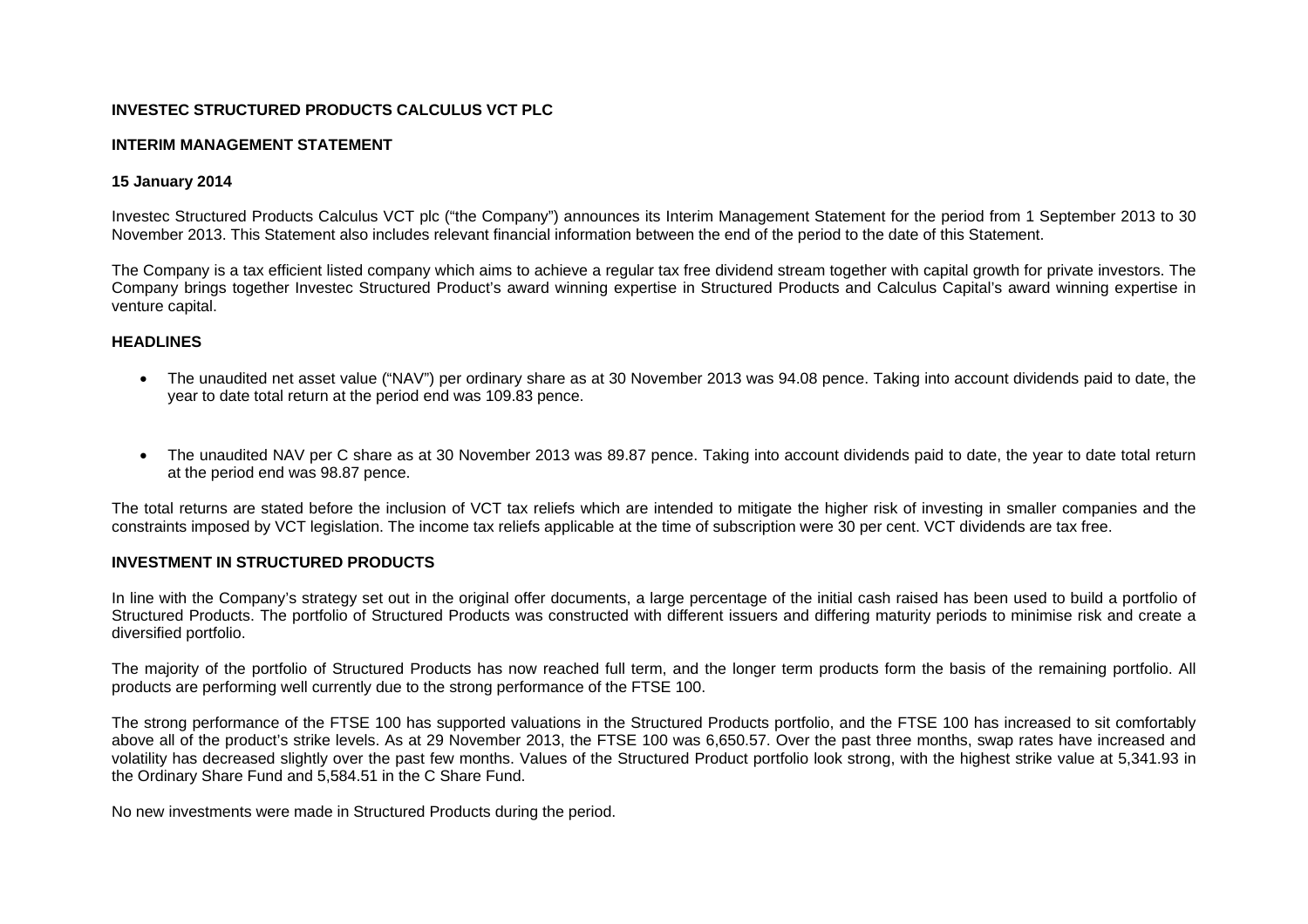## **INVESTEC STRUCTURED PRODUCTS CALCULUS VCT PLC**

#### **INTERIM MANAGEMENT STATEMENT**

### **15 January 2014**

Investec Structured Products Calculus VCT plc ("the Company") announces its Interim Management Statement for the period from 1 September 2013 to 30 November 2013. This Statement also includes relevant financial information between the end of the period to the date of this Statement.

The Company is a tax efficient listed company which aims to achieve a regular tax free dividend stream together with capital growth for private investors. The Company brings together Investec Structured Product's award winning expertise in Structured Products and Calculus Capital's award winning expertise in venture capital.

#### **HEADLINES**

- The unaudited net asset value ("NAV") per ordinary share as at 30 November 2013 was 94.08 pence. Taking into account dividends paid to date, the year to date total return at the period end was 109.83 pence.
- The unaudited NAV per C share as at 30 November 2013 was 89.87 pence. Taking into account dividends paid to date, the year to date total return at the period end was 98.87 pence.

The total returns are stated before the inclusion of VCT tax reliefs which are intended to mitigate the higher risk of investing in smaller companies and the constraints imposed by VCT legislation. The income tax reliefs applicable at the time of subscription were 30 per cent. VCT dividends are tax free.

#### **INVESTMENT IN STRUCTURED PRODUCTS**

In line with the Company's strategy set out in the original offer documents, a large percentage of the initial cash raised has been used to build a portfolio of Structured Products. The portfolio of Structured Products was constructed with different issuers and differing maturity periods to minimise risk and create a diversified portfolio.

The majority of the portfolio of Structured Products has now reached full term, and the longer term products form the basis of the remaining portfolio. All products are performing well currently due to the strong performance of the FTSE 100.

The strong performance of the FTSE 100 has supported valuations in the Structured Products portfolio, and the FTSE 100 has increased to sit comfortably above all of the product's strike levels. As at 29 November 2013, the FTSE 100 was 6,650.57. Over the past three months, swap rates have increased and volatility has decreased slightly over the past few months. Values of the Structured Product portfolio look strong, with the highest strike value at 5,341.93 in the Ordinary Share Fund and 5,584.51 in the C Share Fund.

No new investments were made in Structured Products during the period.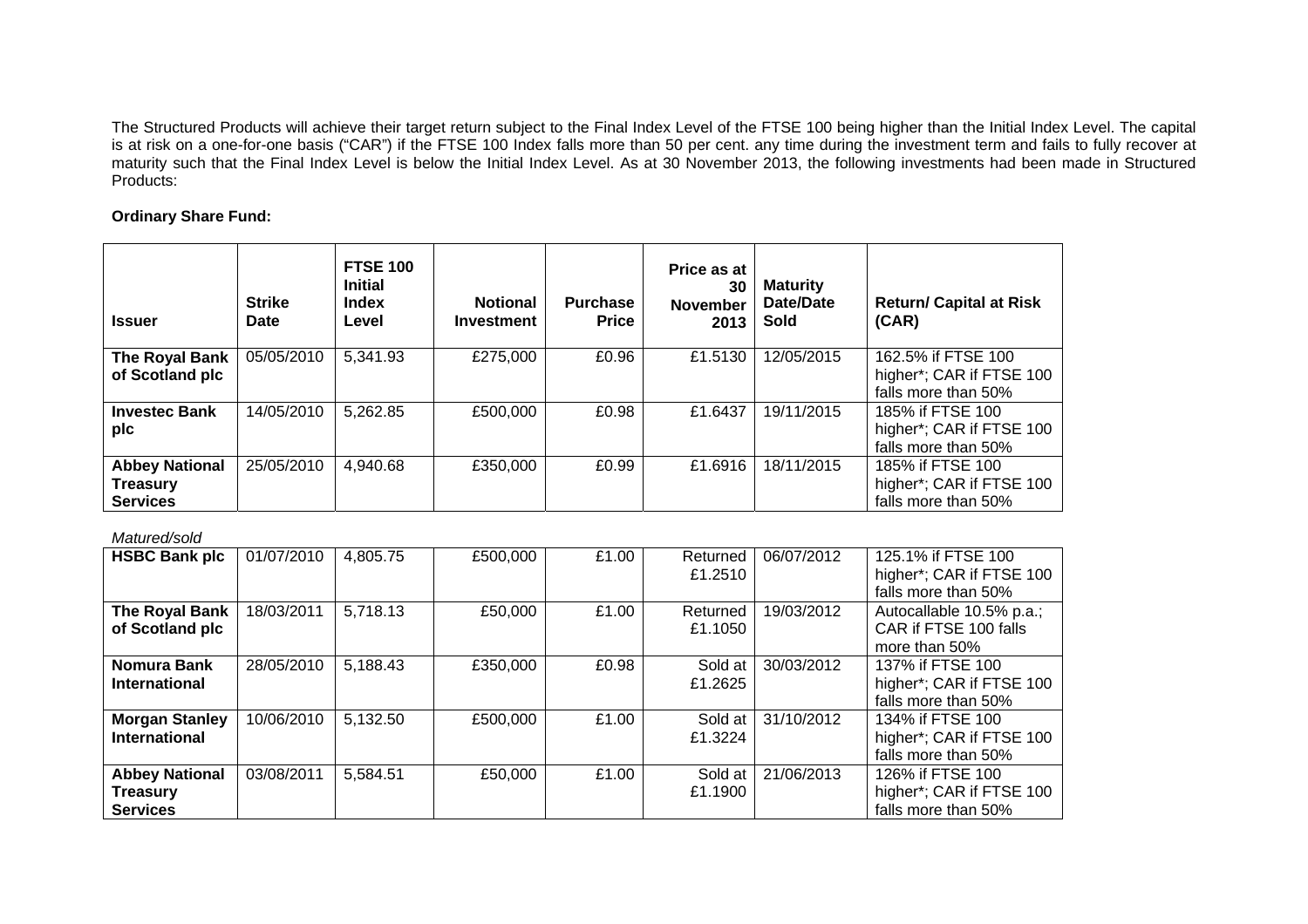The Structured Products will achieve their target return subject to the Final Index Level of the FTSE 100 being higher than the Initial Index Level. The capital is at risk on a one-for-one basis ("CAR") if the FTSE 100 Index falls more than 50 per cent. any time during the investment term and fails to fully recover at maturity such that the Final Index Level is below the Initial Index Level. As at 30 November 2013, the following investments had been made in Structured Products:

# **Ordinary Share Fund:**

| <b>Issuer</b>                                               | <b>Strike</b><br>Date | <b>FTSE 100</b><br><b>Initial</b><br><b>Index</b><br>Level | <b>Notional</b><br><b>Investment</b> | <b>Purchase</b><br><b>Price</b> | Price as at<br>30<br><b>November</b><br>2013 | <b>Maturity</b><br>Date/Date<br><b>Sold</b> | <b>Return/ Capital at Risk</b><br>(CAR)                               |
|-------------------------------------------------------------|-----------------------|------------------------------------------------------------|--------------------------------------|---------------------------------|----------------------------------------------|---------------------------------------------|-----------------------------------------------------------------------|
| The Royal Bank<br>of Scotland plc                           | 05/05/2010            | 5,341.93                                                   | £275,000                             | £0.96                           | £1.5130                                      | 12/05/2015                                  | 162.5% if FTSE 100<br>higher*; CAR if FTSE 100<br>falls more than 50% |
| <b>Investec Bank</b><br>plc                                 | 14/05/2010            | 5,262.85                                                   | £500,000                             | £0.98                           | £1.6437                                      | 19/11/2015                                  | 185% if FTSE 100<br>higher*; CAR if FTSE 100<br>falls more than 50%   |
| <b>Abbey National</b><br><b>Treasury</b><br><b>Services</b> | 25/05/2010            | 4,940.68                                                   | £350,000                             | £0.99                           | £1.6916                                      | 18/11/2015                                  | 185% if FTSE 100<br>higher*; CAR if FTSE 100<br>falls more than 50%   |

### *Matured/sold*

| <b>HSBC Bank plc</b>                                        | 01/07/2010 | 4,805.75 | £500,000 | £1.00 | Returned<br>£1.2510 | 06/07/2012 | 125.1% if FTSE 100<br>higher*; CAR if FTSE 100<br>falls more than 50% |
|-------------------------------------------------------------|------------|----------|----------|-------|---------------------|------------|-----------------------------------------------------------------------|
| The Royal Bank<br>of Scotland plc                           | 18/03/2011 | 5,718.13 | £50,000  | £1.00 | Returned<br>£1.1050 | 19/03/2012 | Autocallable 10.5% p.a.;<br>CAR if FTSE 100 falls<br>more than 50%    |
| <b>Nomura Bank</b><br><b>International</b>                  | 28/05/2010 | 5,188.43 | £350,000 | £0.98 | Sold at<br>£1.2625  | 30/03/2012 | 137% if FTSE 100<br>higher*; CAR if FTSE 100<br>falls more than 50%   |
| <b>Morgan Stanley</b><br><b>International</b>               | 10/06/2010 | 5,132.50 | £500,000 | £1.00 | Sold at<br>£1.3224  | 31/10/2012 | 134% if FTSE 100<br>higher*; CAR if FTSE 100<br>falls more than 50%   |
| <b>Abbey National</b><br><b>Treasury</b><br><b>Services</b> | 03/08/2011 | 5,584.51 | £50,000  | £1.00 | Sold at<br>£1.1900  | 21/06/2013 | 126% if FTSE 100<br>higher*; CAR if FTSE 100<br>falls more than 50%   |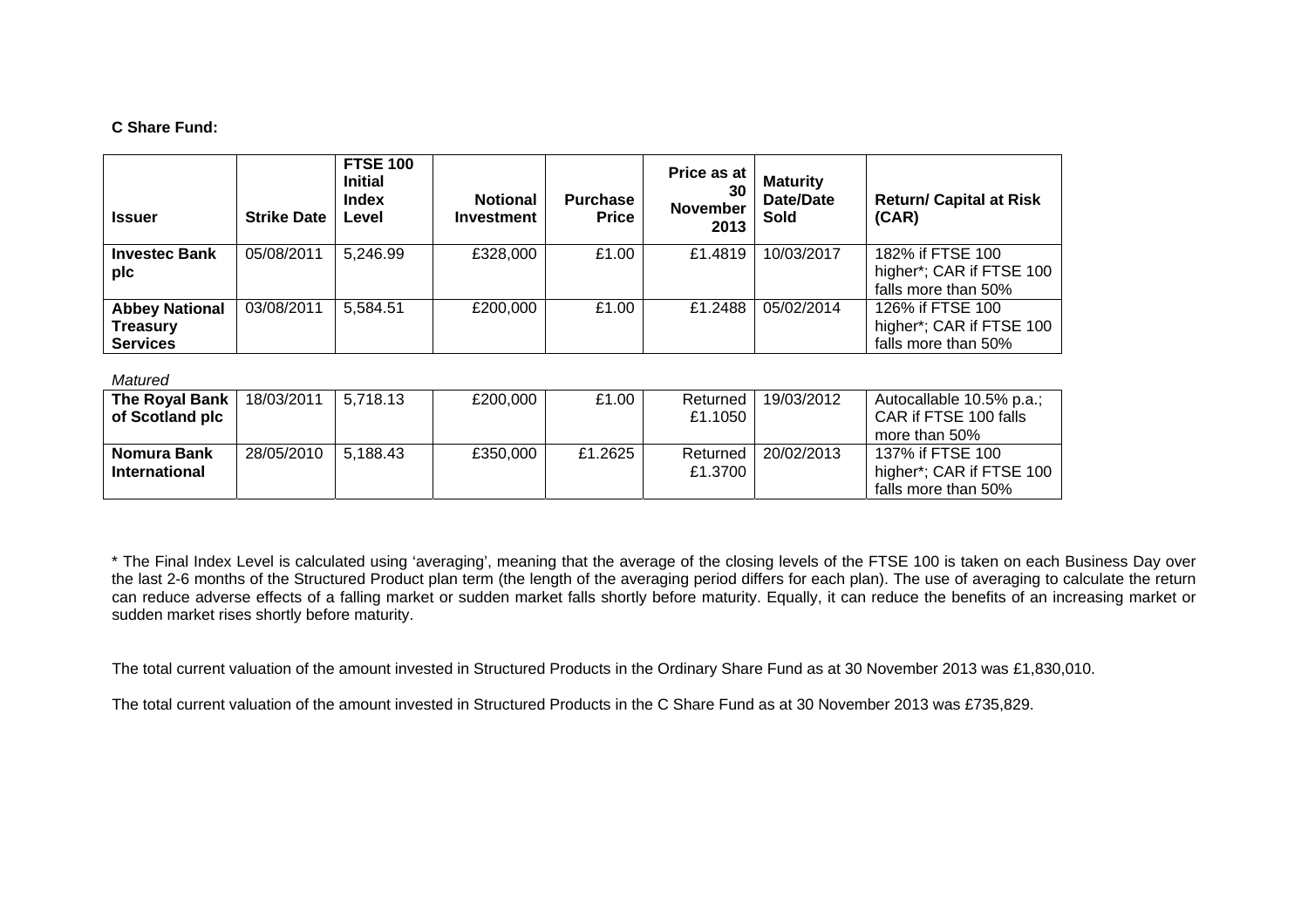### **C Share Fund:**

| <b>Issuer</b>                                               | <b>Strike Date</b> | <b>FTSE 100</b><br><b>Initial</b><br><b>Index</b><br>Level | <b>Notional</b><br><b>Investment</b> | <b>Purchase</b><br><b>Price</b> | Price as at<br>30<br><b>November</b><br>2013 | <b>Maturity</b><br>Date/Date<br>Sold | <b>Return/ Capital at Risk</b><br>(CAR)                             |
|-------------------------------------------------------------|--------------------|------------------------------------------------------------|--------------------------------------|---------------------------------|----------------------------------------------|--------------------------------------|---------------------------------------------------------------------|
| <b>Investec Bank</b><br>plc                                 | 05/08/2011         | 5,246.99                                                   | £328,000                             | £1.00                           | £1.4819                                      | 10/03/2017                           | 182% if FTSE 100<br>higher*; CAR if FTSE 100<br>falls more than 50% |
| <b>Abbey National</b><br><b>Treasury</b><br><b>Services</b> | 03/08/2011         | 5,584.51                                                   | £200,000                             | £1.00                           | £1.2488                                      | 05/02/2014                           | 126% if FTSE 100<br>higher*; CAR if FTSE 100<br>falls more than 50% |

#### *Matured*

| The Royal Bank       | 18/03/2011 | 5.718.13 | £200.000 | £1.00   | Returned | 19/03/2012 | Autocallable 10.5% p.a.; |
|----------------------|------------|----------|----------|---------|----------|------------|--------------------------|
| of Scotland plc      |            |          |          |         | £1.1050  |            | CAR if FTSE 100 falls    |
|                      |            |          |          |         |          |            | more than 50%            |
| Nomura Bank          | 28/05/2010 | 5.188.43 | £350,000 | £1.2625 | Returned | 20/02/2013 | 137% if FTSE 100         |
| <b>International</b> |            |          |          |         | £1.3700  |            | higher*; CAR if FTSE 100 |
|                      |            |          |          |         |          |            | falls more than 50%      |

\* The Final Index Level is calculated using 'averaging', meaning that the average of the closing levels of the FTSE 100 is taken on each Business Day over the last 2-6 months of the Structured Product plan term (the length of the averaging period differs for each plan). The use of averaging to calculate the return can reduce adverse effects of a falling market or sudden market falls shortly before maturity. Equally, it can reduce the benefits of an increasing market or sudden market rises shortly before maturity.

The total current valuation of the amount invested in Structured Products in the Ordinary Share Fund as at 30 November 2013 was £1,830,010.

The total current valuation of the amount invested in Structured Products in the C Share Fund as at 30 November 2013 was £735,829.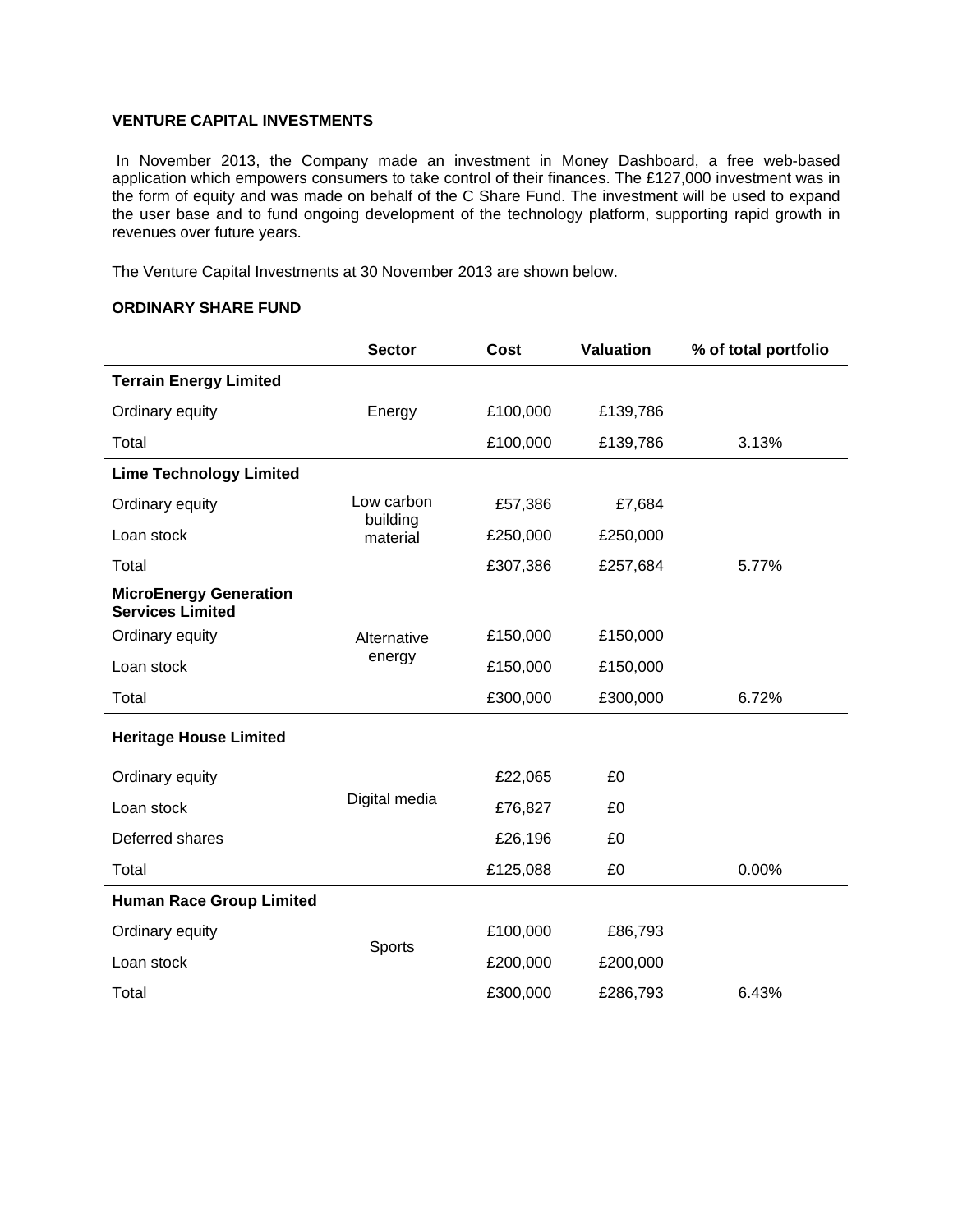## **VENTURE CAPITAL INVESTMENTS**

 In November 2013, the Company made an investment in Money Dashboard, a free web-based application which empowers consumers to take control of their finances. The £127,000 investment was in the form of equity and was made on behalf of the C Share Fund. The investment will be used to expand the user base and to fund ongoing development of the technology platform, supporting rapid growth in revenues over future years.

The Venture Capital Investments at 30 November 2013 are shown below.

### **ORDINARY SHARE FUND**

|                                                          | <b>Sector</b>        | <b>Cost</b> | <b>Valuation</b> | % of total portfolio |
|----------------------------------------------------------|----------------------|-------------|------------------|----------------------|
| <b>Terrain Energy Limited</b>                            |                      |             |                  |                      |
| Ordinary equity                                          | Energy               | £100,000    | £139,786         |                      |
| Total                                                    |                      | £100,000    | £139,786         | 3.13%                |
| <b>Lime Technology Limited</b>                           |                      |             |                  |                      |
| Ordinary equity                                          | Low carbon           | £57,386     | £7,684           |                      |
| Loan stock                                               | building<br>material | £250,000    | £250,000         |                      |
| Total                                                    |                      | £307,386    | £257,684         | 5.77%                |
| <b>MicroEnergy Generation</b><br><b>Services Limited</b> |                      |             |                  |                      |
| Ordinary equity                                          | Alternative          | £150,000    | £150,000         |                      |
| Loan stock                                               | energy               | £150,000    | £150,000         |                      |
| Total                                                    |                      | £300,000    | £300,000         | 6.72%                |
| <b>Heritage House Limited</b>                            |                      |             |                  |                      |
| Ordinary equity                                          |                      | £22,065     | £0               |                      |
| Loan stock                                               | Digital media        | £76,827     | £0               |                      |
| Deferred shares                                          |                      | £26,196     | £0               |                      |
| Total                                                    |                      | £125,088    | £0               | 0.00%                |
| <b>Human Race Group Limited</b>                          |                      |             |                  |                      |
| Ordinary equity                                          | Sports               | £100,000    | £86,793          |                      |
| Loan stock                                               |                      | £200,000    | £200,000         |                      |
| Total                                                    |                      | £300,000    | £286,793         | 6.43%                |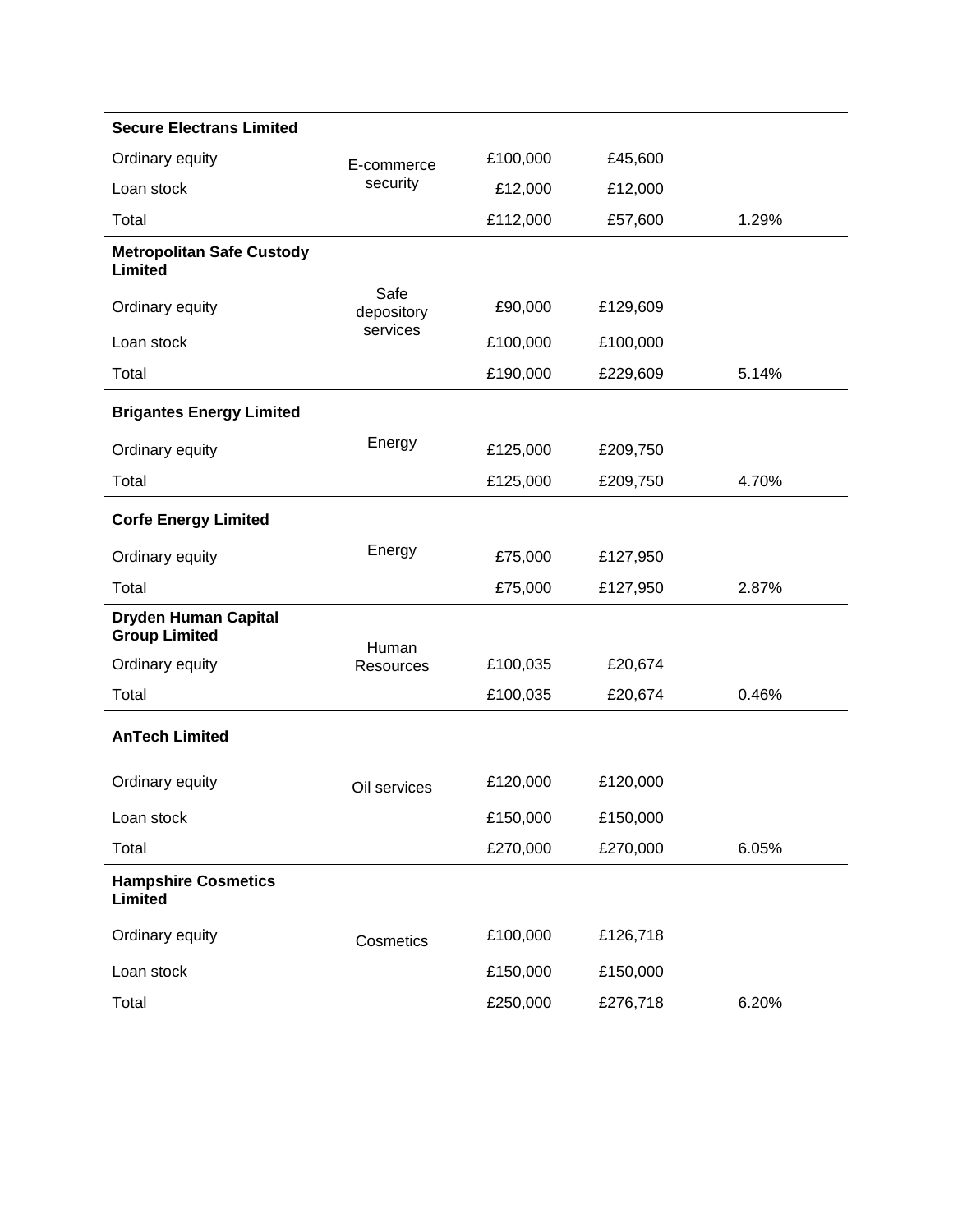| <b>Secure Electrans Limited</b>                     |                    |          |          |       |
|-----------------------------------------------------|--------------------|----------|----------|-------|
| Ordinary equity                                     | E-commerce         | £100,000 | £45,600  |       |
| Loan stock                                          | security           | £12,000  | £12,000  |       |
| Total                                               |                    | £112,000 | £57,600  | 1.29% |
| <b>Metropolitan Safe Custody</b><br>Limited         |                    |          |          |       |
| Ordinary equity                                     | Safe<br>depository | £90,000  | £129,609 |       |
| Loan stock                                          | services           | £100,000 | £100,000 |       |
| Total                                               |                    | £190,000 | £229,609 | 5.14% |
| <b>Brigantes Energy Limited</b>                     |                    |          |          |       |
| Ordinary equity                                     | Energy             | £125,000 | £209,750 |       |
| Total                                               |                    | £125,000 | £209,750 | 4.70% |
| <b>Corfe Energy Limited</b>                         |                    |          |          |       |
| Ordinary equity                                     | Energy             | £75,000  | £127,950 |       |
| Total                                               |                    | £75,000  | £127,950 | 2.87% |
| <b>Dryden Human Capital</b><br><b>Group Limited</b> | Human              |          |          |       |
| Ordinary equity                                     | <b>Resources</b>   | £100,035 | £20,674  |       |
| Total                                               |                    | £100,035 | £20,674  | 0.46% |
| <b>AnTech Limited</b>                               |                    |          |          |       |
| Ordinary equity                                     | Oil services       | £120,000 | £120,000 |       |
| Loan stock                                          |                    | £150,000 | £150,000 |       |
| Total                                               |                    | £270,000 | £270,000 | 6.05% |
| <b>Hampshire Cosmetics</b><br><b>Limited</b>        |                    |          |          |       |
| Ordinary equity                                     | Cosmetics          | £100,000 | £126,718 |       |
| Loan stock                                          |                    | £150,000 | £150,000 |       |
| Total                                               |                    | £250,000 | £276,718 | 6.20% |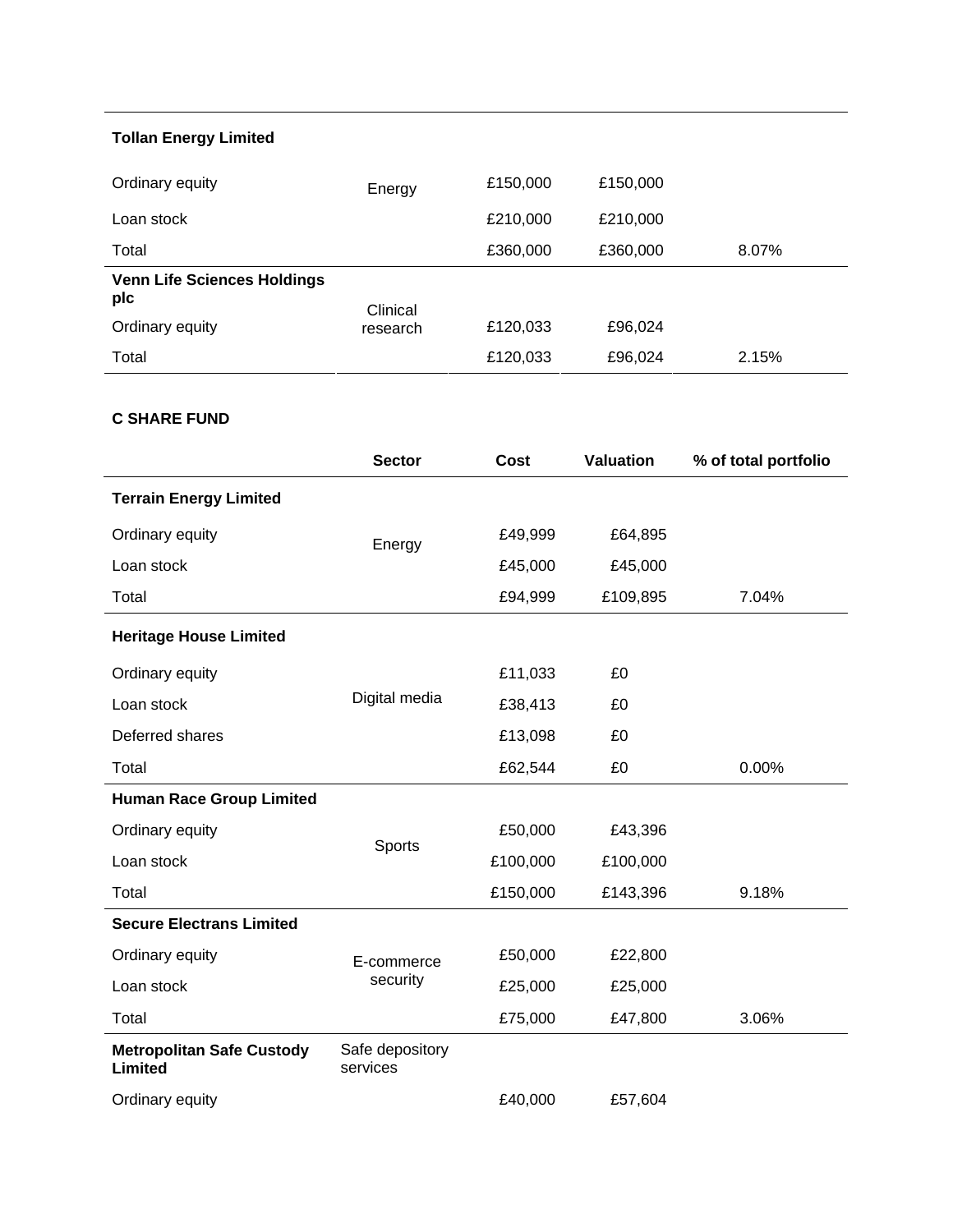# **Tollan Energy Limited**

| Ordinary equity                           | Energy   | £150,000 | £150,000 |       |
|-------------------------------------------|----------|----------|----------|-------|
| Loan stock                                |          | £210,000 | £210,000 |       |
| Total                                     |          | £360,000 | £360,000 | 8.07% |
| <b>Venn Life Sciences Holdings</b><br>plc | Clinical |          |          |       |
| Ordinary equity                           | research | £120,033 | £96,024  |       |
| Total                                     |          | £120,033 | £96,024  | 2.15% |

# **C SHARE FUND**

|                                             | <b>Sector</b>               | Cost     | <b>Valuation</b> | % of total portfolio |
|---------------------------------------------|-----------------------------|----------|------------------|----------------------|
| <b>Terrain Energy Limited</b>               |                             |          |                  |                      |
| Ordinary equity                             | Energy                      | £49,999  | £64,895          |                      |
| Loan stock                                  |                             | £45,000  | £45,000          |                      |
| Total                                       |                             | £94,999  | £109,895         | 7.04%                |
| <b>Heritage House Limited</b>               |                             |          |                  |                      |
| Ordinary equity                             |                             | £11,033  | £0               |                      |
| Loan stock                                  | Digital media               | £38,413  | £0               |                      |
| Deferred shares                             |                             | £13,098  | £0               |                      |
| Total                                       |                             | £62,544  | £0               | 0.00%                |
| <b>Human Race Group Limited</b>             |                             |          |                  |                      |
| Ordinary equity                             |                             | £50,000  | £43,396          |                      |
| Loan stock                                  | Sports                      | £100,000 | £100,000         |                      |
| Total                                       |                             | £150,000 | £143,396         | 9.18%                |
| <b>Secure Electrans Limited</b>             |                             |          |                  |                      |
| Ordinary equity                             | E-commerce                  | £50,000  | £22,800          |                      |
| Loan stock                                  | security                    | £25,000  | £25,000          |                      |
| Total                                       |                             | £75,000  | £47,800          | 3.06%                |
| <b>Metropolitan Safe Custody</b><br>Limited | Safe depository<br>services |          |                  |                      |
| Ordinary equity                             |                             | £40,000  | £57,604          |                      |